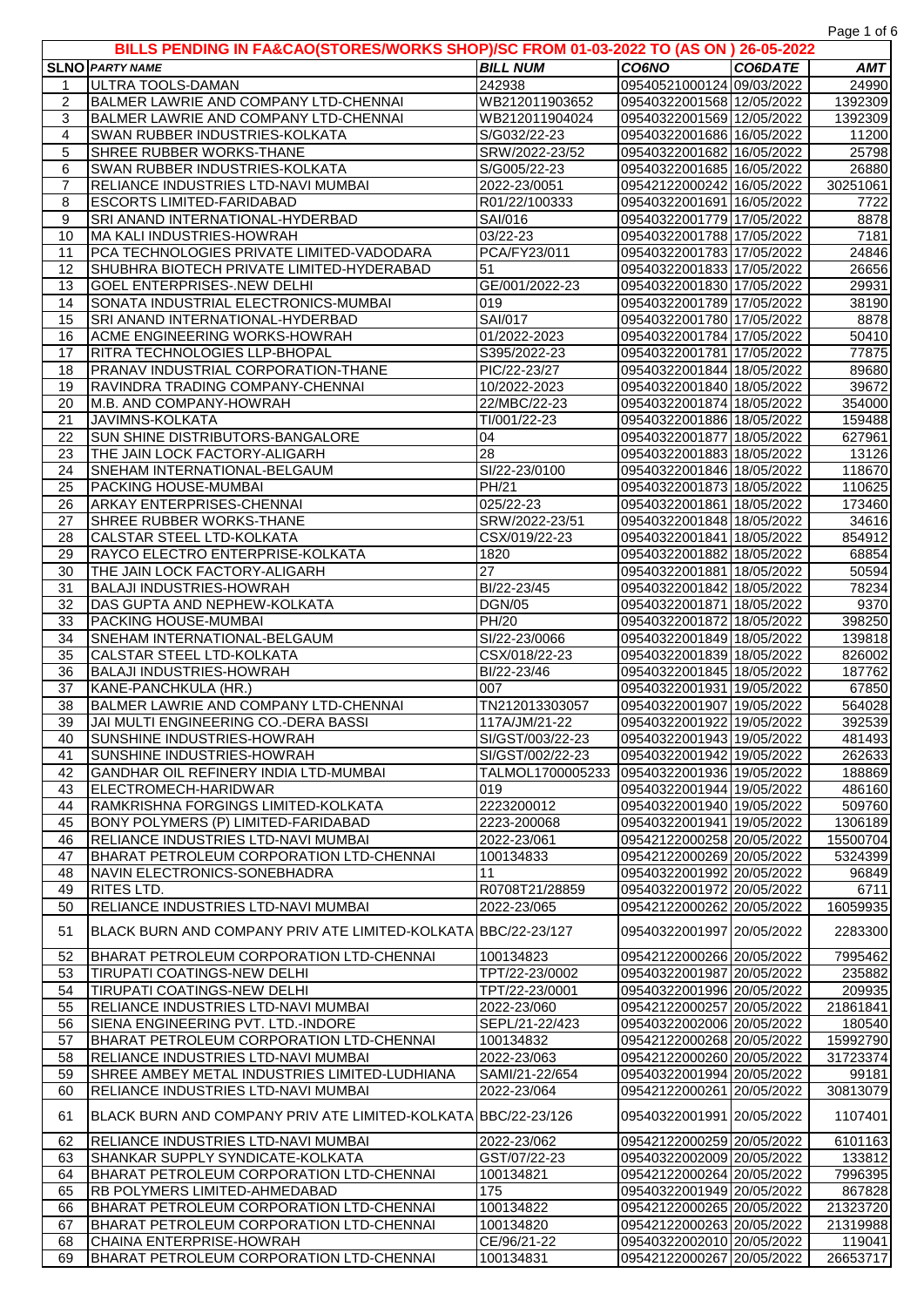Page 1 of 6

|                | BILLS PENDING IN FA&CAO(STORES/WORKS SHOP)/SC FROM 01-03-2022 TO (AS ON ) 26-05-2022 |                                 |                                                        |         |                  |
|----------------|--------------------------------------------------------------------------------------|---------------------------------|--------------------------------------------------------|---------|------------------|
|                | <b>SLNO PARTY NAME</b>                                                               | <b>BILL NUM</b>                 | <b>CO6NO</b>                                           | CO6DATE | AMT              |
| $\mathbf{1}$   | ULTRA TOOLS-DAMAN                                                                    | 242938                          | 09540521000124 09/03/2022                              |         | 24990            |
| $\overline{c}$ | BALMER LAWRIE AND COMPANY LTD-CHENNAI                                                | WB212011903652                  | 09540322001568 12/05/2022                              |         | 1392309          |
| 3              | BALMER LAWRIE AND COMPANY LTD-CHENNAI                                                | WB212011904024                  | 09540322001569 12/05/2022                              |         | 1392309          |
| 4              | SWAN RUBBER INDUSTRIES-KOLKATA                                                       | S/G032/22-23                    | 09540322001686 16/05/2022                              |         | 11200            |
| 5              | SHREE RUBBER WORKS-THANE                                                             | SRW/2022-23/52                  | 09540322001682 16/05/2022                              |         | 25798            |
| 6              | SWAN RUBBER INDUSTRIES-KOLKATA                                                       | S/G005/22-23                    | 09540322001685 16/05/2022                              |         | 26880            |
| $\overline{7}$ | RELIANCE INDUSTRIES LTD-NAVI MUMBAI                                                  | 2022-23/0051                    | 09542122000242 16/05/2022                              |         | 30251061         |
| 8              | <b>ESCORTS LIMITED-FARIDABAD</b>                                                     | R01/22/100333                   | 09540322001691 16/05/2022                              |         | 7722             |
| 9              | SRI ANAND INTERNATIONAL-HYDERBAD                                                     | SAI/016                         | 09540322001779 17/05/2022                              |         | 8878             |
| 10<br>11       | MA KALI INDUSTRIES-HOWRAH<br>PCA TECHNOLOGIES PRIVATE LIMITED-VADODARA               | 03/22-23<br>PCA/FY23/011        | 09540322001788 17/05/2022<br>09540322001783 17/05/2022 |         | 7181<br>24846    |
| 12             | SHUBHRA BIOTECH PRIVATE LIMITED-HYDERABAD                                            | 51                              | 09540322001833 17/05/2022                              |         | 26656            |
| 13             | <b>GOEL ENTERPRISES-.NEW DELHI</b>                                                   | GE/001/2022-23                  | 09540322001830 17/05/2022                              |         | 29931            |
| 14             | SONATA INDUSTRIAL ELECTRONICS-MUMBAI                                                 | 019                             | 09540322001789 17/05/2022                              |         | 38190            |
| 15             | SRI ANAND INTERNATIONAL-HYDERBAD                                                     | SAI/017                         | 09540322001780 17/05/2022                              |         | 8878             |
| 16             | <b>ACME ENGINEERING WORKS-HOWRAH</b>                                                 | 01/2022-2023                    | 09540322001784 17/05/2022                              |         | 50410            |
| 17             | RITRA TECHNOLOGIES LLP-BHOPAL                                                        | S395/2022-23                    | 09540322001781 17/05/2022                              |         | 77875            |
| 18             | PRANAV INDUSTRIAL CORPORATION-THANE                                                  | PIC/22-23/27                    | 09540322001844 18/05/2022                              |         | 89680            |
| 19             | RAVINDRA TRADING COMPANY-CHENNAI                                                     | 10/2022-2023                    | 09540322001840 18/05/2022                              |         | 39672            |
| 20             | M.B. AND COMPANY-HOWRAH                                                              | 22/MBC/22-23                    | 09540322001874 18/05/2022                              |         | 354000           |
| 21             | JAVIMNS-KOLKATA                                                                      | TI/001/22-23                    | 09540322001886 18/05/2022                              |         | 159488           |
| 22             | SUN SHINE DISTRIBUTORS-BANGALORE                                                     | 04                              | 09540322001877 18/05/2022                              |         | 627961           |
| 23             | THE JAIN LOCK FACTORY-ALIGARH                                                        | 28                              | 09540322001883 18/05/2022                              |         | 13126            |
| 24             | SNEHAM INTERNATIONAL-BELGAUM                                                         | SI/22-23/0100                   | 09540322001846 18/05/2022                              |         | 118670           |
| 25             | PACKING HOUSE-MUMBAI                                                                 | PH/21                           | 09540322001873 18/05/2022                              |         | 110625           |
| 26             | <b>ARKAY ENTERPRISES-CHENNAI</b>                                                     | 025/22-23                       | 09540322001861 18/05/2022                              |         | 173460           |
| 27             | SHREE RUBBER WORKS-THANE                                                             | SRW/2022-23/51                  | 09540322001848 18/05/2022                              |         | 34616            |
| 28             | CALSTAR STEEL LTD-KOLKATA                                                            | CSX/019/22-23                   | 09540322001841 18/05/2022                              |         | 854912           |
| 29             | RAYCO ELECTRO ENTERPRISE-KOLKATA                                                     | 1820                            | 09540322001882 18/05/2022                              |         | 68854            |
| 30             | THE JAIN LOCK FACTORY-ALIGARH                                                        | 27                              | 09540322001881 18/05/2022                              |         | 50594            |
| 31             | <b>BALAJI INDUSTRIES-HOWRAH</b>                                                      | BI/22-23/45                     | 09540322001842 18/05/2022                              |         | 78234            |
| 32             | DAS GUPTA AND NEPHEW-KOLKATA                                                         | <b>DGN/05</b>                   | 09540322001871 18/05/2022                              |         | 9370             |
| 33             | <b>PACKING HOUSE-MUMBAI</b>                                                          | PH/20                           | 09540322001872 18/05/2022                              |         | 398250           |
| 34             | SNEHAM INTERNATIONAL-BELGAUM                                                         | SI/22-23/0066                   | 09540322001849 18/05/2022                              |         | 139818           |
| 35             | CALSTAR STEEL LTD-KOLKATA                                                            | CSX/018/22-23                   | 09540322001839 18/05/2022                              |         | 826002           |
| 36             | <b>BALAJI INDUSTRIES-HOWRAH</b>                                                      | BI/22-23/46                     | 09540322001845 18/05/2022                              |         | 187762           |
| 37             | KANE-PANCHKULA (HR.)                                                                 | 007                             | 09540322001931 19/05/2022                              |         | 67850            |
| 38<br>39       | BALMER LAWRIE AND COMPANY LTD-CHENNAI<br>JAI MULTI ENGINEERING CO.-DERA BASSI        | TN212013303057<br>117A/JM/21-22 | 09540322001907 19/05/2022<br>09540322001922 19/05/2022 |         | 564028           |
| 40             | SUNSHINE INDUSTRIES-HOWRAH                                                           | SI/GST/003/22-23                | 09540322001943 19/05/2022                              |         | 392539<br>481493 |
| 41             | SUNSHINE INDUSTRIES-HOWRAH                                                           | SI/GST/002/22-23                | 09540322001942 19/05/2022                              |         | 262633           |
| 42             | GANDHAR OIL REFINERY INDIA LTD-MUMBAI                                                | TALMOL1700005233                | 09540322001936 19/05/2022                              |         | 188869           |
| 43             | <b>IELECTROMECH-HARIDWAR</b>                                                         | 019                             | 09540322001944 19/05/2022                              |         | 486160           |
| 44             | RAMKRISHNA FORGINGS LIMITED-KOLKATA                                                  | 2223200012                      | 09540322001940 19/05/2022                              |         | 509760           |
| 45             | BONY POLYMERS (P) LIMITED-FARIDABAD                                                  | 2223-200068                     | 09540322001941 19/05/2022                              |         | 1306189          |
| 46             | <b>RELIANCE INDUSTRIES LTD-NAVI MUMBAI</b>                                           | 2022-23/061                     | 09542122000258 20/05/2022                              |         | 15500704         |
| 47             | BHARAT PETROLEUM CORPORATION LTD-CHENNAI                                             | 100134833                       | 09542122000269 20/05/2022                              |         | 5324399          |
| 48             | <b>I</b> NAVIN ELECTRONICS-SONEBHADRA                                                | 11                              | 09540322001992 20/05/2022                              |         | 96849            |
| 49             | <b>RITES LTD.</b>                                                                    | R0708T21/28859                  | 09540322001972 20/05/2022                              |         | 6711             |
| 50             | RELIANCE INDUSTRIES LTD-NAVI MUMBAI                                                  | 2022-23/065                     | 09542122000262 20/05/2022                              |         | 16059935         |
|                |                                                                                      |                                 |                                                        |         |                  |
| 51             | IBLACK BURN AND COMPANY PRIV ATE LIMITED-KOLKATAIBBC/22-23/127                       |                                 | 09540322001997 20/05/2022                              |         | 2283300          |
| 52             | BHARAT PETROLEUM CORPORATION LTD-CHENNAI                                             | 100134823                       | 09542122000266 20/05/2022                              |         | 7995462          |
| 53             | TIRUPATI COATINGS-NEW DELHI                                                          | TPT/22-23/0002                  | 09540322001987 20/05/2022                              |         | 235882           |
| 54             | <b>TIRUPATI COATINGS-NEW DELHI</b>                                                   | TPT/22-23/0001                  | 09540322001996 20/05/2022                              |         | 209935           |
| 55             | <b>RELIANCE INDUSTRIES LTD-NAVI MUMBAI</b>                                           | 2022-23/060                     | 09542122000257 20/05/2022                              |         | 21861841         |
| 56             | SIENA ENGINEERING PVT. LTD.-INDORE                                                   | SEPL/21-22/423                  | 09540322002006 20/05/2022                              |         | 180540           |
| 57             | BHARAT PETROLEUM CORPORATION LTD-CHENNAI                                             | 100134832                       | 09542122000268 20/05/2022                              |         | 15992790         |
| 58             | RELIANCE INDUSTRIES LTD-NAVI MUMBAI                                                  | 2022-23/063                     | 09542122000260 20/05/2022                              |         | 31723374         |
| 59             | SHREE AMBEY METAL INDUSTRIES LIMITED-LUDHIANA                                        | SAMI/21-22/654                  | 09540322001994 20/05/2022                              |         | 99181            |
| 60             | RELIANCE INDUSTRIES LTD-NAVI MUMBAI                                                  | 2022-23/064                     | 09542122000261 20/05/2022                              |         | 30813079         |
| 61             | BLACK BURN AND COMPANY PRIV ATE LIMITED-KOLKATA BBC/22-23/126                        |                                 | 09540322001991 20/05/2022                              |         | 1107401          |
| 62             | RELIANCE INDUSTRIES LTD-NAVI MUMBAI                                                  | 2022-23/062                     | 09542122000259 20/05/2022                              |         | 6101163          |
| 63             | SHANKAR SUPPLY SYNDICATE-KOLKATA                                                     | GST/07/22-23                    | 09540322002009 20/05/2022                              |         | 133812           |
| 64             | BHARAT PETROLEUM CORPORATION LTD-CHENNAI                                             | 100134821                       | 09542122000264 20/05/2022                              |         | 7996395          |
| 65             | <b>RB POLYMERS LIMITED-AHMEDABAD</b>                                                 | 175                             | 09540322001949 20/05/2022                              |         | 867828           |
| 66             | BHARAT PETROLEUM CORPORATION LTD-CHENNAI                                             | 100134822                       | 09542122000265 20/05/2022                              |         | 21323720         |
| 67             | BHARAT PETROLEUM CORPORATION LTD-CHENNAI                                             | 100134820                       | 09542122000263 20/05/2022                              |         | 21319988         |
| 68             | CHAINA ENTERPRISE-HOWRAH                                                             | CE/96/21-22                     | 09540322002010 20/05/2022                              |         | 119041           |
| 69             | BHARAT PETROLEUM CORPORATION LTD-CHENNAI                                             | 100134831                       | 09542122000267 20/05/2022                              |         | 26653717         |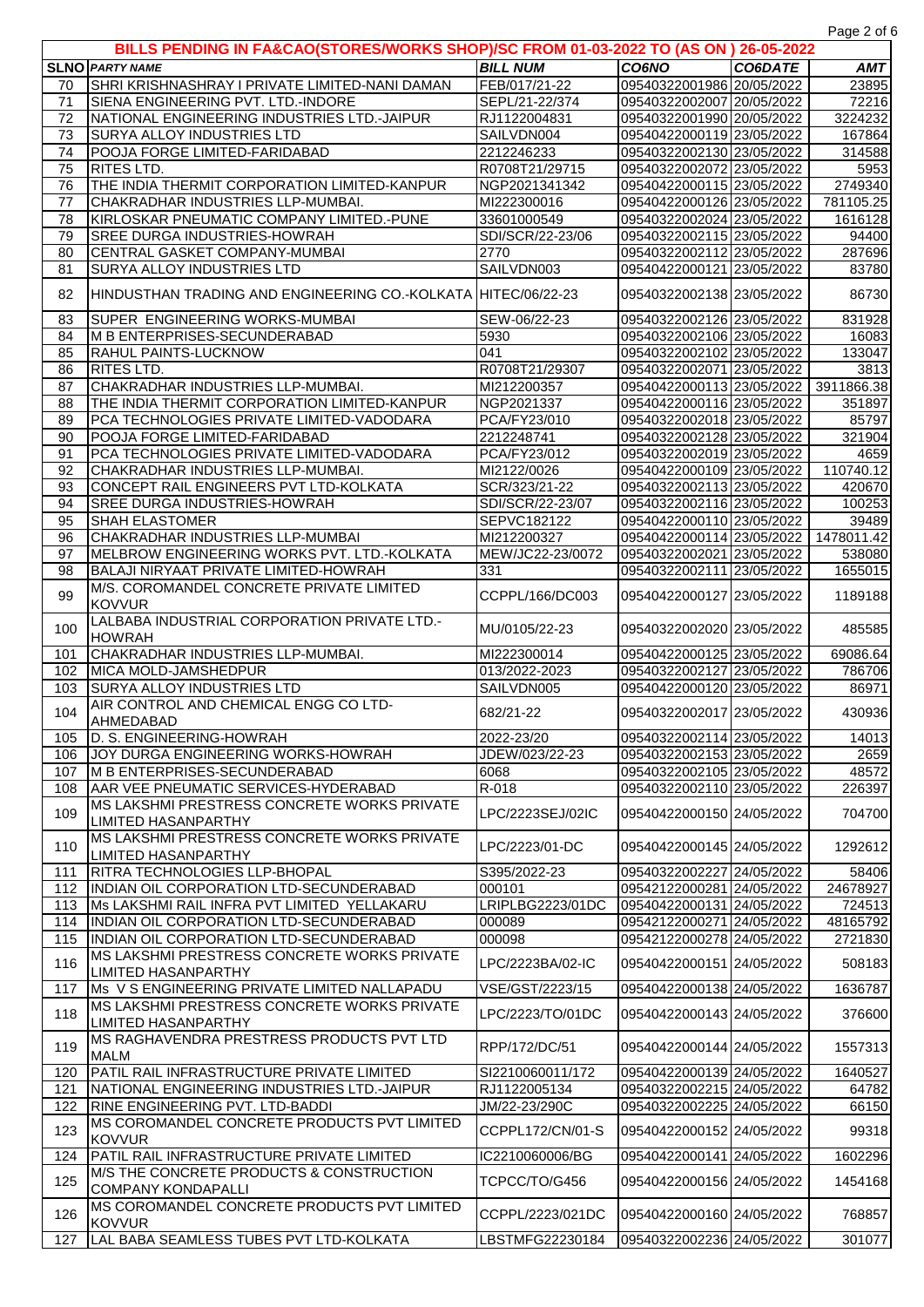|            | BILLS PENDING IN FA&CAO(STORES/WORKS SHOP)/SC FROM 01-03-2022 TO (AS ON ) 26-05-2022                |                                     |                                                        |         |                                                                                      |
|------------|-----------------------------------------------------------------------------------------------------|-------------------------------------|--------------------------------------------------------|---------|--------------------------------------------------------------------------------------|
|            | <b>SLNO PARTY NAME</b>                                                                              | <b>BILL NUM</b>                     | CO6NO                                                  | CO6DATE | <b>AMT</b>                                                                           |
| 70         | SHRI KRISHNASHRAY I PRIVATE LIMITED-NANI DAMAN                                                      | FEB/017/21-22                       | 09540322001986 20/05/2022                              |         | 23895                                                                                |
| 71         | SIENA ENGINEERING PVT. LTD.-INDORE                                                                  | SEPL/21-22/374                      | 09540322002007 20/05/2022                              |         | 72216                                                                                |
| 72         | NATIONAL ENGINEERING INDUSTRIES LTD.-JAIPUR                                                         | RJ1122004831                        | 09540322001990 20/05/2022                              |         | 3224232                                                                              |
| 73         | <b>SURYA ALLOY INDUSTRIES LTD</b>                                                                   | SAILVDN004                          | 09540422000119 23/05/2022                              |         | 167864                                                                               |
| 74         | POOJA FORGE LIMITED-FARIDABAD                                                                       | 2212246233                          | 09540322002130 23/05/2022                              |         | 314588                                                                               |
| 75         | <b>RITES LTD.</b>                                                                                   | R0708T21/29715                      | 09540322002072 23/05/2022                              |         | 5953                                                                                 |
| 76         | THE INDIA THERMIT CORPORATION LIMITED-KANPUR                                                        | NGP2021341342                       | 09540422000115 23/05/2022                              |         | 2749340                                                                              |
| 77         | CHAKRADHAR INDUSTRIES LLP-MUMBAI.                                                                   | MI222300016                         | 09540422000126 23/05/2022                              |         | 781105.25                                                                            |
| 78         | KIRLOSKAR PNEUMATIC COMPANY LIMITED.-PUNE                                                           | 33601000549                         | 09540322002024 23/05/2022                              |         | 1616128                                                                              |
| 79         | SREE DURGA INDUSTRIES-HOWRAH                                                                        | SDI/SCR/22-23/06                    | 09540322002115 23/05/2022                              |         | 94400                                                                                |
| 80         |                                                                                                     | 2770                                |                                                        |         | 287696                                                                               |
|            | CENTRAL GASKET COMPANY-MUMBAI                                                                       | SAILVDN003                          | 09540322002112 23/05/2022                              |         |                                                                                      |
| 81         | <b>SURYA ALLOY INDUSTRIES LTD</b>                                                                   |                                     | 09540422000121 23/05/2022                              |         | 83780                                                                                |
| 82         | HINDUSTHAN TRADING AND ENGINEERING CO.-KOLKATA HITEC/06/22-23                                       |                                     | 09540322002138 23/05/2022                              |         | 86730                                                                                |
| 83         | SUPER ENGINEERING WORKS-MUMBAI                                                                      | SEW-06/22-23                        | 09540322002126 23/05/2022                              |         | 831928                                                                               |
| 84         | <b>M B ENTERPRISES-SECUNDERABAD</b>                                                                 | 5930                                | 09540322002106 23/05/2022                              |         | 16083                                                                                |
| 85         | RAHUL PAINTS-LUCKNOW                                                                                | 041                                 | 09540322002102 23/05/2022                              |         | 133047                                                                               |
| 86         | RITES LTD.                                                                                          | R0708T21/29307                      | 09540322002071 23/05/2022                              |         | 3813                                                                                 |
| 87         | CHAKRADHAR INDUSTRIES LLP-MUMBAI.                                                                   | MI212200357                         | 09540422000113 23/05/2022                              |         | 3911866.38                                                                           |
| 88         | THE INDIA THERMIT CORPORATION LIMITED-KANPUR                                                        | NGP2021337                          | 09540422000116 23/05/2022                              |         | 351897                                                                               |
| 89         | PCA TECHNOLOGIES PRIVATE LIMITED-VADODARA                                                           | PCA/FY23/010                        | 09540322002018 23/05/2022                              |         | 85797                                                                                |
| 90         | POOJA FORGE LIMITED-FARIDABAD                                                                       | 2212248741                          | 09540322002128 23/05/2022                              |         | 321904                                                                               |
| 91         | PCA TECHNOLOGIES PRIVATE LIMITED-VADODARA                                                           | PCA/FY23/012                        | 09540322002019 23/05/2022                              |         | 4659                                                                                 |
| 92         | CHAKRADHAR INDUSTRIES LLP-MUMBAI.                                                                   | MI2122/0026                         | 09540422000109 23/05/2022                              |         | 110740.12                                                                            |
| 93         | CONCEPT RAIL ENGINEERS PVT LTD-KOLKATA                                                              | SCR/323/21-22                       | 09540322002113 23/05/2022                              |         | 420670                                                                               |
| 94         | SREE DURGA INDUSTRIES-HOWRAH                                                                        | SDI/SCR/22-23/07                    | 09540322002116 23/05/2022                              |         | 100253                                                                               |
| 95         | <b>SHAH ELASTOMER</b>                                                                               | SEPVC182122                         | 09540422000110 23/05/2022                              |         | 39489                                                                                |
| 96         | CHAKRADHAR INDUSTRIES LLP-MUMBAI                                                                    | MI212200327                         | 09540422000114 23/05/2022                              |         | 1478011.42                                                                           |
| 97         | MELBROW ENGINEERING WORKS PVT. LTD.-KOLKATA                                                         | MEW/JC22-23/0072                    | 09540322002021 23/05/2022                              |         | 538080                                                                               |
| 98         | BALAJI NIRYAAT PRIVATE LIMITED-HOWRAH                                                               | 331                                 | 09540322002111 23/05/2022                              |         |                                                                                      |
|            |                                                                                                     |                                     |                                                        |         | 1655015                                                                              |
| 99         | M/S. COROMANDEL CONCRETE PRIVATE LIMITED<br><b>KOVVUR</b>                                           | CCPPL/166/DC003                     | 09540422000127 23/05/2022                              |         | 1189188                                                                              |
| 100        | LALBABA INDUSTRIAL CORPORATION PRIVATE LTD.-<br><b>HOWRAH</b>                                       | MU/0105/22-23                       | 09540322002020 23/05/2022                              |         | 485585                                                                               |
| 101        | CHAKRADHAR INDUSTRIES LLP-MUMBAI.                                                                   | MI222300014                         | 09540422000125 23/05/2022                              |         | 69086.64                                                                             |
| 102        | MICA MOLD-JAMSHEDPUR                                                                                | 013/2022-2023                       | 09540322002127 23/05/2022                              |         | 786706                                                                               |
| 103        | <b>SURYA ALLOY INDUSTRIES LTD</b>                                                                   | SAILVDN005                          | 09540422000120 23/05/2022                              |         | 86971                                                                                |
|            |                                                                                                     |                                     |                                                        |         |                                                                                      |
| 104        | AIR CONTROL AND CHEMICAL ENGG CO LTD-                                                               | 682/21-22                           | 09540322002017 23/05/2022                              |         |                                                                                      |
|            | AHMEDABAD                                                                                           |                                     |                                                        |         |                                                                                      |
|            | 105 D. S. ENGINEERING-HOWRAH                                                                        | 2022-23/20                          | 09540322002114 23/05/2022                              |         |                                                                                      |
| 106        | <b>JJOY DURGA ENGINEERING WORKS-HOWRAH</b>                                                          | JDEW/023/22-23                      | 09540322002153 23/05/2022                              |         |                                                                                      |
| 107        | M B ENTERPRISES-SECUNDERABAD                                                                        | 6068                                | 09540322002105 23/05/2022                              |         |                                                                                      |
| 108        | AAR VEE PNEUMATIC SERVICES-HYDERABAD                                                                | R-018                               | 09540322002110 23/05/2022                              |         |                                                                                      |
| 109        | MS LAKSHMI PRESTRESS CONCRETE WORKS PRIVATE<br><b>LIMITED HASANPARTHY</b>                           | LPC/2223SEJ/02IC                    | 09540422000150 24/05/2022                              |         |                                                                                      |
| 110        | <b>IMS LAKSHMI PRESTRESS CONCRETE WORKS PRIVATE</b><br><b>LIMITED HASANPARTHY</b>                   | LPC/2223/01-DC                      | 09540422000145 24/05/2022                              |         |                                                                                      |
| 111        |                                                                                                     | S395/2022-23                        | 09540322002227 24/05/2022                              |         |                                                                                      |
| 112        | RITRA TECHNOLOGIES LLP-BHOPAL<br>INDIAN OIL CORPORATION LTD-SECUNDERABAD                            | 000101                              | 09542122000281 24/05/2022                              |         | 430936<br>14013<br>2659<br>48572<br>226397<br>704700<br>1292612<br>58406<br>24678927 |
| 113        |                                                                                                     | LRIPLBG2223/01DC                    |                                                        |         |                                                                                      |
| 114        | Ms LAKSHMI RAIL INFRA PVT LIMITED YELLAKARU                                                         | 000089                              | 09540422000131 24/05/2022<br>09542122000271 24/05/2022 |         |                                                                                      |
|            | INDIAN OIL CORPORATION LTD-SECUNDERABAD                                                             |                                     |                                                        |         |                                                                                      |
| 115<br>116 | INDIAN OIL CORPORATION LTD-SECUNDERABAD<br>MS LAKSHMI PRESTRESS CONCRETE WORKS PRIVATE              | 000098<br>LPC/2223BA/02-IC          | 09542122000278 24/05/2022<br>09540422000151 24/05/2022 |         |                                                                                      |
|            | <b>LIMITED HASANPARTHY</b>                                                                          |                                     |                                                        |         |                                                                                      |
| 117<br>118 | Ms V S ENGINEERING PRIVATE LIMITED NALLAPADU<br><b>IMS LAKSHMI PRESTRESS CONCRETE WORKS PRIVATE</b> | VSE/GST/2223/15<br>LPC/2223/TO/01DC | 09540422000138 24/05/2022<br>09540422000143 24/05/2022 |         |                                                                                      |
|            | <b>LIMITED HASANPARTHY</b><br>MS RAGHAVENDRA PRESTRESS PRODUCTS PVT LTD                             |                                     |                                                        |         |                                                                                      |
| 119        | <b>MALM</b>                                                                                         | RPP/172/DC/51                       | 09540422000144 24/05/2022                              |         |                                                                                      |
| 120        | PATIL RAIL INFRASTRUCTURE PRIVATE LIMITED                                                           | SI2210060011/172                    | 09540422000139 24/05/2022                              |         | 724513<br>48165792<br>2721830<br>508183<br>1636787<br>376600<br>1557313<br>1640527   |
| 121        | NATIONAL ENGINEERING INDUSTRIES LTD.-JAIPUR                                                         | RJ1122005134                        | 09540322002215 24/05/2022                              |         | 64782                                                                                |
| 122        | RINE ENGINEERING PVT. LTD-BADDI                                                                     | JM/22-23/290C                       | 09540322002225124/05/2022                              |         |                                                                                      |
| 123        | MS COROMANDEL CONCRETE PRODUCTS PVT LIMITED<br><b>KOVVUR</b>                                        | CCPPL172/CN/01-S                    | 09540422000152 24/05/2022                              |         | 66150<br>99318                                                                       |
| 124        | PATIL RAIL INFRASTRUCTURE PRIVATE LIMITED                                                           | IC2210060006/BG                     | 09540422000141 24/05/2022                              |         | 1602296                                                                              |
| 125        | <b>IM/S THE CONCRETE PRODUCTS &amp; CONSTRUCTION</b><br><b>COMPANY KONDAPALLI</b>                   | TCPCC/TO/G456                       | 09540422000156 24/05/2022                              |         |                                                                                      |
| 126        | <b>IMS COROMANDEL CONCRETE PRODUCTS PVT LIMITED</b><br><b>KOVVUR</b>                                | CCPPL/2223/021DC                    | 09540422000160 24/05/2022                              |         | 1454168<br>768857                                                                    |

Page 2 of 6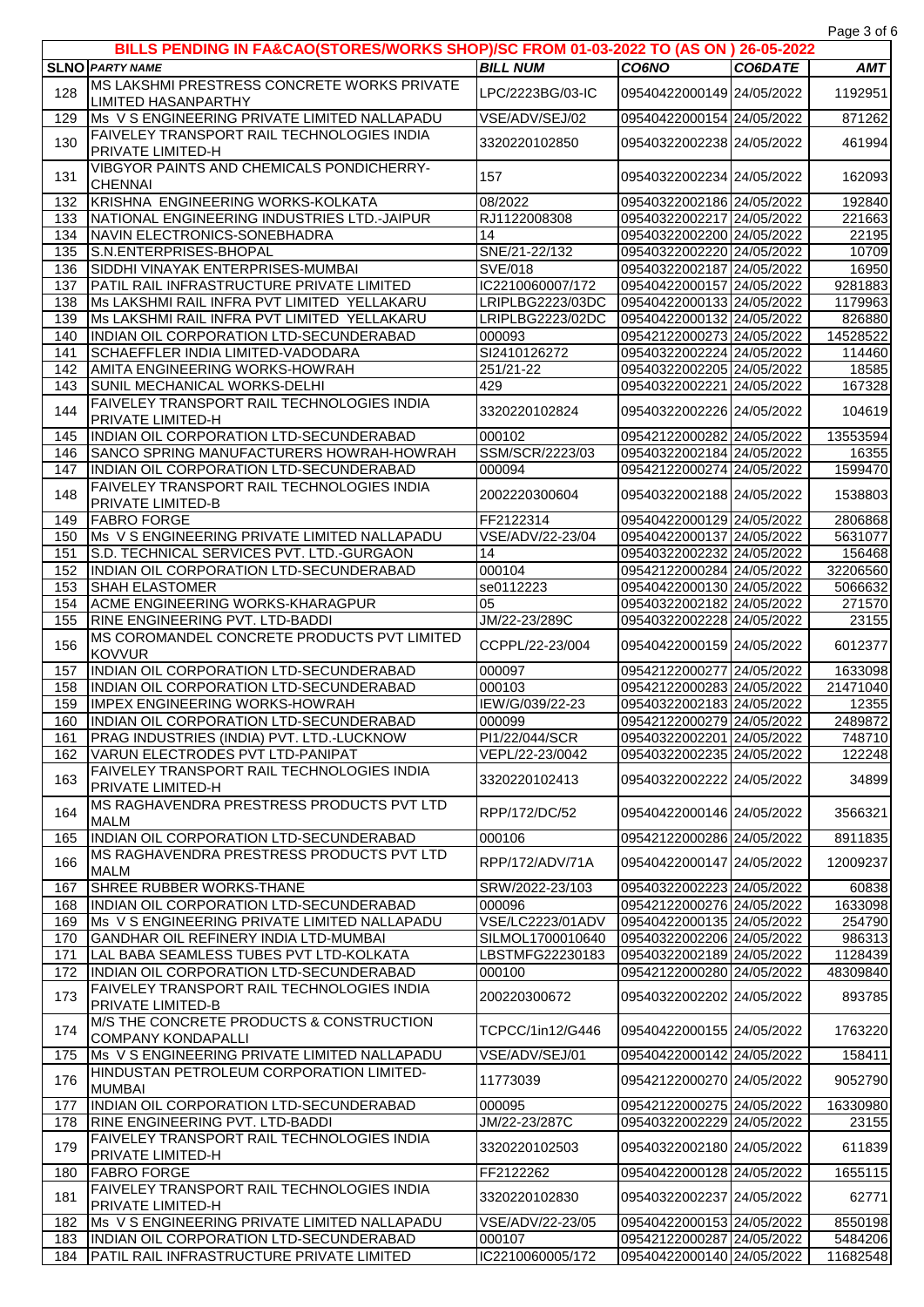| Page 3 of 6 |  |  |
|-------------|--|--|

| . ugo o o.<br>BILLS PENDING IN FA&CAO(STORES/WORKS SHOP)/SC FROM 01-03-2022 TO (AS ON ) 26-05-2022 |                                                                                   |                                   |                                                        |         |                  |
|----------------------------------------------------------------------------------------------------|-----------------------------------------------------------------------------------|-----------------------------------|--------------------------------------------------------|---------|------------------|
|                                                                                                    | <b>SLNO PARTY NAME</b>                                                            | <b>BILL NUM</b>                   | CO6NO                                                  | CO6DATE | <b>AMT</b>       |
| 128                                                                                                | MS LAKSHMI PRESTRESS CONCRETE WORKS PRIVATE                                       | LPC/2223BG/03-IC                  | 09540422000149 24/05/2022                              |         | 1192951          |
|                                                                                                    | <b>LIMITED HASANPARTHY</b>                                                        |                                   |                                                        |         |                  |
| 129                                                                                                | Ms V S ENGINEERING PRIVATE LIMITED NALLAPADU                                      | VSE/ADV/SEJ/02                    | 09540422000154 24/05/2022                              |         | 871262           |
| 130                                                                                                | <b>FAIVELEY TRANSPORT RAIL TECHNOLOGIES INDIA</b><br><b>PRIVATE LIMITED-H</b>     | 3320220102850                     | 09540322002238 24/05/2022                              |         | 461994           |
|                                                                                                    | VIBGYOR PAINTS AND CHEMICALS PONDICHERRY-                                         |                                   |                                                        |         |                  |
| 131                                                                                                | <b>CHENNAI</b>                                                                    | 157                               | 09540322002234 24/05/2022                              |         | 162093           |
| 132                                                                                                | KRISHNA ENGINEERING WORKS-KOLKATA                                                 | 08/2022                           | 09540322002186 24/05/2022                              |         | 192840           |
| 133                                                                                                | NATIONAL ENGINEERING INDUSTRIES LTD.-JAIPUR                                       | RJ1122008308                      | 09540322002217 24/05/2022                              |         | 221663           |
| 134                                                                                                | NAVIN ELECTRONICS-SONEBHADRA                                                      | 14                                | 09540322002200 24/05/2022                              |         | 22195            |
| 135                                                                                                | S.N.ENTERPRISES-BHOPAL                                                            | SNE/21-22/132                     | 09540322002220 24/05/2022                              |         | 10709            |
| 136<br>137                                                                                         | SIDDHI VINAYAK ENTERPRISES-MUMBAI<br>PATIL RAIL INFRASTRUCTURE PRIVATE LIMITED    | SVE/018<br>IC2210060007/172       | 09540322002187 24/05/2022<br>09540422000157 24/05/2022 |         | 16950<br>9281883 |
| 138                                                                                                | Ms LAKSHMI RAIL INFRA PVT LIMITED YELLAKARU                                       | LRIPLBG2223/03DC                  | 09540422000133 24/05/2022                              |         | 1179963          |
| 139                                                                                                | Ms LAKSHMI RAIL INFRA PVT LIMITED YELLAKARU                                       | LRIPLBG2223/02DC                  | 09540422000132 24/05/2022                              |         | 826880           |
| 140                                                                                                | INDIAN OIL CORPORATION LTD-SECUNDERABAD                                           | 000093                            | 09542122000273 24/05/2022                              |         | 14528522         |
| 141                                                                                                | SCHAEFFLER INDIA LIMITED-VADODARA                                                 | SI2410126272                      | 09540322002224 24/05/2022                              |         | 114460           |
| 142                                                                                                | <b>AMITA ENGINEERING WORKS-HOWRAH</b>                                             | 251/21-22                         | 09540322002205 24/05/2022                              |         | 18585            |
| 143                                                                                                | <b>SUNIL MECHANICAL WORKS-DELHI</b>                                               | 429                               | 09540322002221 24/05/2022                              |         | 167328           |
| 144                                                                                                | FAIVELEY TRANSPORT RAIL TECHNOLOGIES INDIA                                        | 3320220102824                     | 09540322002226 24/05/2022                              |         | 104619           |
| 145                                                                                                | <b>PRIVATE LIMITED-H</b><br>INDIAN OIL CORPORATION LTD-SECUNDERABAD               | 000102                            | 09542122000282 24/05/2022                              |         | 13553594         |
| 146                                                                                                | SANCO SPRING MANUFACTURERS HOWRAH-HOWRAH                                          | SSM/SCR/2223/03                   | 09540322002184 24/05/2022                              |         | 16355            |
| 147                                                                                                | INDIAN OIL CORPORATION LTD-SECUNDERABAD                                           | 000094                            | 09542122000274 24/05/2022                              |         | 1599470          |
|                                                                                                    | <b>FAIVELEY TRANSPORT RAIL TECHNOLOGIES INDIA</b>                                 |                                   |                                                        |         |                  |
| 148                                                                                                | <b>PRIVATE LIMITED-B</b>                                                          | 2002220300604                     | 09540322002188 24/05/2022                              |         | 1538803          |
| 149                                                                                                | <b>FABRO FORGE</b>                                                                | FF2122314                         | 09540422000129 24/05/2022                              |         | 2806868          |
| 150                                                                                                | Ms V S ENGINEERING PRIVATE LIMITED NALLAPADU                                      | VSE/ADV/22-23/04                  | 09540422000137 24/05/2022                              |         | 5631077          |
| 151                                                                                                | S.D. TECHNICAL SERVICES PVT. LTD.-GURGAON                                         | 14                                | 09540322002232 24/05/2022                              |         | 156468           |
| 152                                                                                                | INDIAN OIL CORPORATION LTD-SECUNDERABAD                                           | 000104                            | 09542122000284 24/05/2022                              |         | 32206560         |
| 153                                                                                                | <b>SHAH ELASTOMER</b>                                                             | se0112223                         | 09540422000130 24/05/2022                              |         | 5066632          |
| 154<br>155                                                                                         | <b>ACME ENGINEERING WORKS-KHARAGPUR</b><br><b>RINE ENGINEERING PVT. LTD-BADDI</b> | 05<br>JM/22-23/289C               | 09540322002182 24/05/2022<br>09540322002228 24/05/2022 |         | 271570<br>23155  |
|                                                                                                    | <b>IMS COROMANDEL CONCRETE PRODUCTS PVT LIMITED</b>                               |                                   |                                                        |         |                  |
| 156                                                                                                | <b>KOVVUR</b>                                                                     | CCPPL/22-23/004                   | 09540422000159 24/05/2022                              |         | 6012377          |
| 157                                                                                                | INDIAN OIL CORPORATION LTD-SECUNDERABAD                                           | 000097                            | 09542122000277 24/05/2022                              |         | 1633098          |
| 158                                                                                                | INDIAN OIL CORPORATION LTD-SECUNDERABAD                                           | 000103                            | 09542122000283 24/05/2022                              |         | 21471040         |
| 159                                                                                                | <b>IMPEX ENGINEERING WORKS-HOWRAH</b>                                             | IEW/G/039/22-23                   | 09540322002183 24/05/2022                              |         | 12355            |
| 160                                                                                                | INDIAN OIL CORPORATION LTD-SECUNDERABAD                                           | 000099                            | 09542122000279 24/05/2022                              |         | 2489872          |
| 161<br>162                                                                                         | PRAG INDUSTRIES (INDIA) PVT. LTD.-LUCKNOW<br>VARUN ELECTRODES PVT LTD-PANIPAT     | PI1/22/044/SCR<br>VEPL/22-23/0042 | 09540322002201 24/05/2022<br>09540322002235 24/05/2022 |         | 748710<br>122248 |
|                                                                                                    | FAIVELEY TRANSPORT RAIL TECHNOLOGIES INDIA                                        |                                   |                                                        |         |                  |
| 163                                                                                                | <b>PRIVATE LIMITED-H</b>                                                          | 3320220102413                     | 09540322002222 24/05/2022                              |         | 34899            |
|                                                                                                    | MS RAGHAVENDRA PRESTRESS PRODUCTS PVT LTD                                         |                                   |                                                        |         |                  |
| 164                                                                                                | <b>MALM</b>                                                                       | RPP/172/DC/52                     | 09540422000146 24/05/2022                              |         | 3566321          |
| 165                                                                                                | INDIAN OIL CORPORATION LTD-SECUNDERABAD                                           | 000106                            | 09542122000286 24/05/2022                              |         | 8911835          |
| 166                                                                                                | MS RAGHAVENDRA PRESTRESS PRODUCTS PVT LTD                                         | RPP/172/ADV/71A                   | 09540422000147 24/05/2022                              |         | 12009237         |
|                                                                                                    | <b>MALM</b>                                                                       |                                   |                                                        |         |                  |
| 167<br>168                                                                                         | SHREE RUBBER WORKS-THANE<br>INDIAN OIL CORPORATION LTD-SECUNDERABAD               | SRW/2022-23/103<br>000096         | 09540322002223 24/05/2022<br>09542122000276 24/05/2022 |         | 60838<br>1633098 |
| 169                                                                                                | Ms V S ENGINEERING PRIVATE LIMITED NALLAPADU                                      | VSE/LC2223/01ADV                  | 09540422000135 24/05/2022                              |         | 254790           |
| 170                                                                                                | <b>GANDHAR OIL REFINERY INDIA LTD-MUMBAI</b>                                      | SILMOL1700010640                  | 09540322002206 24/05/2022                              |         | 986313           |
| 171                                                                                                | LAL BABA SEAMLESS TUBES PVT LTD-KOLKATA                                           | LBSTMFG22230183                   | 09540322002189 24/05/2022                              |         | 1128439          |
| 172                                                                                                | INDIAN OIL CORPORATION LTD-SECUNDERABAD                                           | 000100                            | 09542122000280 24/05/2022                              |         | 48309840         |
| 173                                                                                                | FAIVELEY TRANSPORT RAIL TECHNOLOGIES INDIA                                        | 200220300672                      | 09540322002202 24/05/2022                              |         | 893785           |
|                                                                                                    | <b>PRIVATE LIMITED-B</b>                                                          |                                   |                                                        |         |                  |
| 174                                                                                                | M/S THE CONCRETE PRODUCTS & CONSTRUCTION                                          | TCPCC/1in12/G446                  | 09540422000155 24/05/2022                              |         | 1763220          |
| 175                                                                                                | <b>COMPANY KONDAPALLI</b><br>Ms V S ENGINEERING PRIVATE LIMITED NALLAPADU         | VSE/ADV/SEJ/01                    | 09540422000142 24/05/2022                              |         |                  |
|                                                                                                    | HINDUSTAN PETROLEUM CORPORATION LIMITED-                                          |                                   |                                                        |         | 158411           |
| 176                                                                                                | <b>MUMBAI</b>                                                                     | 11773039                          | 09542122000270 24/05/2022                              |         | 9052790          |
| 177                                                                                                | INDIAN OIL CORPORATION LTD-SECUNDERABAD                                           | 000095                            | 09542122000275 24/05/2022                              |         | 16330980         |
| 178                                                                                                | <b>RINE ENGINEERING PVT. LTD-BADDI</b>                                            | JM/22-23/287C                     | 09540322002229 24/05/2022                              |         | 23155            |
| 179                                                                                                | FAIVELEY TRANSPORT RAIL TECHNOLOGIES INDIA                                        | 3320220102503                     | 09540322002180 24/05/2022                              |         | 611839           |
|                                                                                                    | <b>PRIVATE LIMITED-H</b>                                                          |                                   |                                                        |         |                  |
| 180                                                                                                | <b>FABRO FORGE</b>                                                                | FF2122262                         | 09540422000128 24/05/2022                              |         | 1655115          |
| 181                                                                                                | <b>FAIVELEY TRANSPORT RAIL TECHNOLOGIES INDIA</b><br><b>PRIVATE LIMITED-H</b>     | 3320220102830                     | 09540322002237 24/05/2022                              |         | 62771            |
| 182                                                                                                | Ms V S ENGINEERING PRIVATE LIMITED NALLAPADU                                      | VSE/ADV/22-23/05                  | 09540422000153 24/05/2022                              |         | 8550198          |
| 183                                                                                                | INDIAN OIL CORPORATION LTD-SECUNDERABAD                                           | 000107                            | 09542122000287 24/05/2022                              |         | 5484206          |
| 184                                                                                                | <b>PATIL RAIL INFRASTRUCTURE PRIVATE LIMITED</b>                                  | IC2210060005/172                  | 09540422000140 24/05/2022                              |         | 11682548         |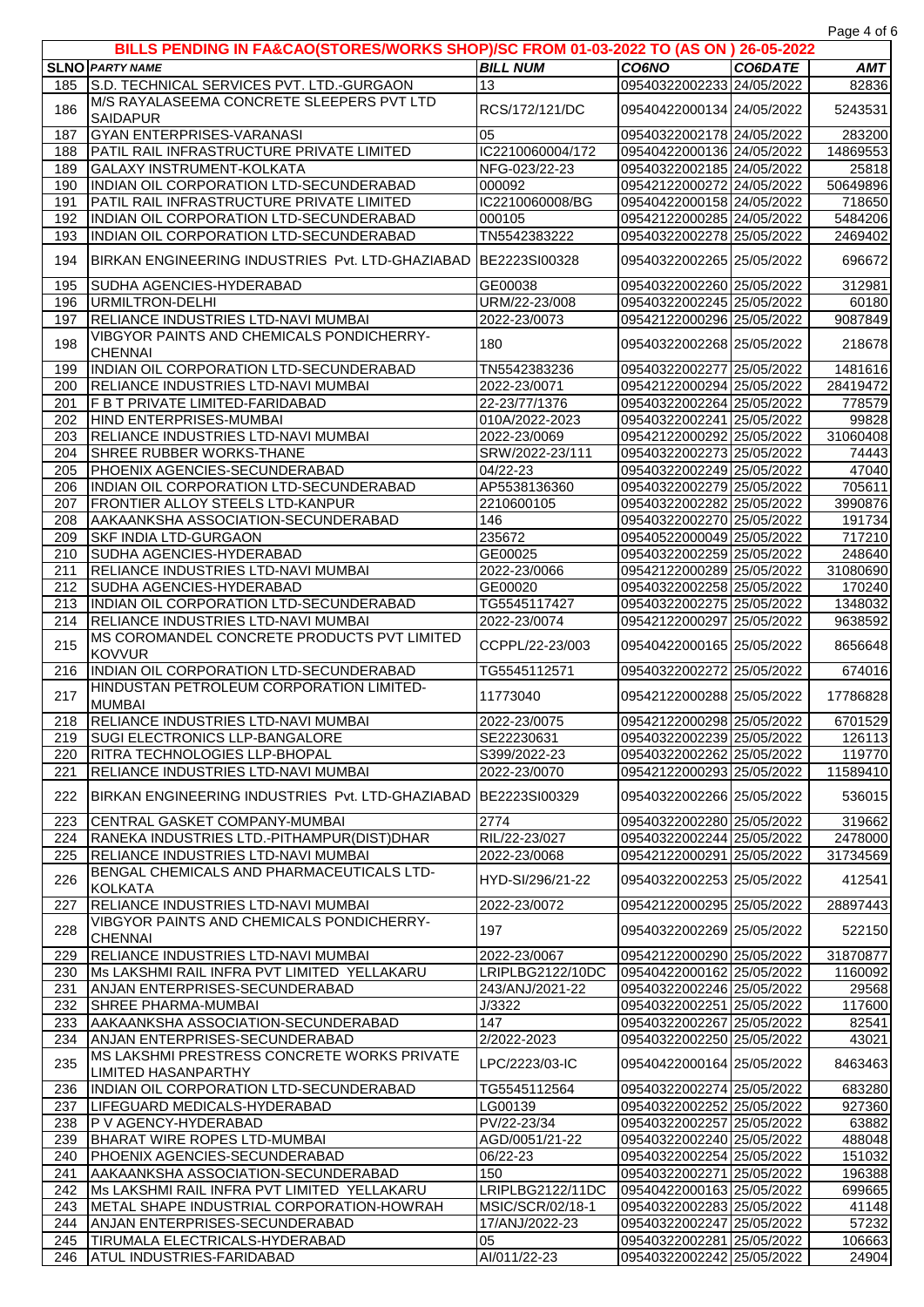Page 4 of 6

| $1$ ugu $1$ ul<br>BILLS PENDING IN FA&CAO(STORES/WORKS SHOP)/SC FROM 01-03-2022 TO (AS ON ) 26-05-2022 |                                                                                           |                    |                                                        |         |                |
|--------------------------------------------------------------------------------------------------------|-------------------------------------------------------------------------------------------|--------------------|--------------------------------------------------------|---------|----------------|
|                                                                                                        | <b>SLNO PARTY NAME</b>                                                                    | <b>BILL NUM</b>    | <b>CO6NO</b>                                           | CO6DATE | <b>AMT</b>     |
| 185                                                                                                    | S.D. TECHNICAL SERVICES PVT. LTD.-GURGAON                                                 | 13                 | 09540322002233 24/05/2022                              |         | 82836          |
|                                                                                                        | M/S RAYALASEEMA CONCRETE SLEEPERS PVT LTD                                                 |                    |                                                        |         |                |
| 186                                                                                                    | <b>SAIDAPUR</b>                                                                           | RCS/172/121/DC     | 09540422000134 24/05/2022                              |         | 5243531        |
| 187                                                                                                    | <b>GYAN ENTERPRISES-VARANASI</b>                                                          | 05                 | 09540322002178 24/05/2022                              |         | 283200         |
| 188                                                                                                    | PATIL RAIL INFRASTRUCTURE PRIVATE LIMITED                                                 | IC2210060004/172   | 09540422000136 24/05/2022                              |         | 14869553       |
| 189                                                                                                    | <b>GALAXY INSTRUMENT-KOLKATA</b>                                                          | NFG-023/22-23      | 09540322002185 24/05/2022                              |         | 25818          |
| 190                                                                                                    | INDIAN OIL CORPORATION LTD-SECUNDERABAD                                                   | 000092             | 09542122000272 24/05/2022                              |         | 50649896       |
| 191                                                                                                    | PATIL RAIL INFRASTRUCTURE PRIVATE LIMITED                                                 | IC2210060008/BG    | 09540422000158 24/05/2022                              |         | 718650         |
| 192                                                                                                    | INDIAN OIL CORPORATION LTD-SECUNDERABAD                                                   | 000105             | 09542122000285 24/05/2022                              |         | 5484206        |
| 193                                                                                                    | INDIAN OIL CORPORATION LTD-SECUNDERABAD                                                   | TN5542383222       | 09540322002278 25/05/2022                              |         | 2469402        |
| 194                                                                                                    | BIRKAN ENGINEERING INDUSTRIES Pvt. LTD-GHAZIABAD                                          | BE2223SI00328      | 09540322002265 25/05/2022                              |         | 696672         |
| 195                                                                                                    | SUDHA AGENCIES-HYDERABAD                                                                  | GE00038            | 09540322002260 25/05/2022                              |         | 312981         |
| 196                                                                                                    | URMILTRON-DELHI                                                                           | URM/22-23/008      | 09540322002245 25/05/2022                              |         | 60180          |
| 197                                                                                                    | <b>RELIANCE INDUSTRIES LTD-NAVI MUMBAI</b>                                                | 2022-23/0073       | 09542122000296 25/05/2022                              |         | 9087849        |
| 198                                                                                                    | VIBGYOR PAINTS AND CHEMICALS PONDICHERRY-                                                 | 180                | 09540322002268 25/05/2022                              |         | 218678         |
|                                                                                                        | <b>CHENNAI</b>                                                                            |                    |                                                        |         |                |
| 199                                                                                                    | INDIAN OIL CORPORATION LTD-SECUNDERABAD                                                   | TN5542383236       | 09540322002277 25/05/2022                              |         | 1481616        |
| 200                                                                                                    | <b>RELIANCE INDUSTRIES LTD-NAVI MUMBAI</b>                                                | 2022-23/0071       | 09542122000294 25/05/2022                              |         | 28419472       |
| 201                                                                                                    | <b>F B T PRIVATE LIMITED-FARIDABAD</b>                                                    | 22-23/77/1376      | 09540322002264 25/05/2022                              |         | 778579         |
| 202                                                                                                    | HIND ENTERPRISES-MUMBAI                                                                   | 010A/2022-2023     | 09540322002241 25/05/2022                              |         | 99828          |
| 203                                                                                                    | RELIANCE INDUSTRIES LTD-NAVI MUMBAI                                                       | 2022-23/0069       | 09542122000292 25/05/2022                              |         | 31060408       |
| 204                                                                                                    | SHREE RUBBER WORKS-THANE                                                                  | SRW/2022-23/111    | 09540322002273 25/05/2022                              |         | 74443          |
| 205                                                                                                    | PHOENIX AGENCIES-SECUNDERABAD                                                             | 04/22-23           | 09540322002249 25/05/2022                              |         | 47040          |
| 206                                                                                                    | INDIAN OIL CORPORATION LTD-SECUNDERABAD                                                   | AP5538136360       | 09540322002279 25/05/2022                              |         | 705611         |
| 207                                                                                                    | FRONTIER ALLOY STEELS LTD-KANPUR                                                          | 2210600105         | 09540322002282 25/05/2022                              |         | 3990876        |
| 208                                                                                                    | AAKAANKSHA ASSOCIATION-SECUNDERABAD                                                       | 146                | 09540322002270 25/05/2022                              |         | 191734         |
| 209                                                                                                    | <b>SKF INDIA LTD-GURGAON</b>                                                              | 235672             | 09540522000049 25/05/2022                              |         | 717210         |
| 210                                                                                                    | SUDHA AGENCIES-HYDERABAD                                                                  | GE00025            | 09540322002259 25/05/2022                              |         | 248640         |
| 211                                                                                                    | <b>RELIANCE INDUSTRIES LTD-NAVI MUMBAI</b>                                                | 2022-23/0066       | 09542122000289 25/05/2022                              |         | 31080690       |
| 212                                                                                                    | SUDHA AGENCIES-HYDERABAD                                                                  | GE00020            | 09540322002258 25/05/2022                              |         | 170240         |
| 213                                                                                                    | INDIAN OIL CORPORATION LTD-SECUNDERABAD                                                   | TG5545117427       | 09540322002275 25/05/2022                              |         | 1348032        |
| 214                                                                                                    | <b>RELIANCE INDUSTRIES LTD-NAVI MUMBAI</b><br>MS COROMANDEL CONCRETE PRODUCTS PVT LIMITED | 2022-23/0074       | 09542122000297 25/05/2022                              |         | 9638592        |
| 215                                                                                                    | <b>KOVVUR</b>                                                                             | CCPPL/22-23/003    | 09540422000165 25/05/2022                              |         | 8656648        |
| 216                                                                                                    | INDIAN OIL CORPORATION LTD-SECUNDERABAD                                                   | TG5545112571       | 09540322002272 25/05/2022                              |         | 674016         |
|                                                                                                        | HINDUSTAN PETROLEUM CORPORATION LIMITED-                                                  |                    |                                                        |         |                |
| 217                                                                                                    | <b>MUMBAI</b>                                                                             | 11773040           | 09542122000288 25/05/2022                              |         | 17786828       |
| 218                                                                                                    | <b>RELIANCE INDUSTRIES LTD-NAVI MUMBAI</b>                                                | 2022-23/0075       | 09542122000298 25/05/2022                              |         | 6701529        |
|                                                                                                        | 219 SUGI ELECTRONICS LLP-BANGALORE                                                        | SE22230631         | 09540322002239 25/05/2022                              |         | 126113         |
| 220                                                                                                    | <b>RITRA TECHNOLOGIES LLP-BHOPAL</b>                                                      | S399/2022-23       | 09540322002262 25/05/2022                              |         | 119770         |
| 221                                                                                                    | <b>RELIANCE INDUSTRIES LTD-NAVI MUMBAI</b>                                                | 2022-23/0070       | 09542122000293 25/05/2022                              |         | 11589410       |
|                                                                                                        |                                                                                           |                    |                                                        |         |                |
| 222                                                                                                    | BIRKAN ENGINEERING INDUSTRIES Pvt. LTD-GHAZIABAD                                          | BE2223SI00329      | 09540322002266 25/05/2022                              |         | 536015         |
| 223                                                                                                    | CENTRAL GASKET COMPANY-MUMBAI                                                             | 2774               | 09540322002280 25/05/2022                              |         | 319662         |
| 224                                                                                                    | RANEKA INDUSTRIES LTD.-PITHAMPUR(DIST)DHAR                                                | RIL/22-23/027      | 09540322002244 25/05/2022                              |         | 2478000        |
| 225                                                                                                    | <b>RELIANCE INDUSTRIES LTD-NAVI MUMBAI</b>                                                | 2022-23/0068       | 09542122000291 25/05/2022                              |         | 31734569       |
| 226                                                                                                    | BENGAL CHEMICALS AND PHARMACEUTICALS LTD-                                                 | HYD-SI/296/21-22   | 09540322002253 25/05/2022                              |         | 412541         |
|                                                                                                        | <b>KOLKATA</b>                                                                            |                    |                                                        |         |                |
| 227                                                                                                    | <b>RELIANCE INDUSTRIES LTD-NAVI MUMBAI</b>                                                | 2022-23/0072       | 09542122000295 25/05/2022                              |         | 28897443       |
| 228                                                                                                    | <b>VIBGYOR PAINTS AND CHEMICALS PONDICHERRY-</b>                                          | 197                | 09540322002269 25/05/2022                              |         | 522150         |
|                                                                                                        | <b>CHENNAI</b>                                                                            |                    |                                                        |         |                |
| 229                                                                                                    | <b>RELIANCE INDUSTRIES LTD-NAVI MUMBAI</b>                                                | 2022-23/0067       | 09542122000290 25/05/2022                              |         | 31870877       |
| 230                                                                                                    | Ms LAKSHMI RAIL INFRA PVT LIMITED YELLAKARU                                               | LRIPLBG2122/10DC   | 09540422000162 25/05/2022                              |         | 1160092        |
| 231                                                                                                    | ANJAN ENTERPRISES-SECUNDERABAD                                                            | 243/ANJ/2021-22    | 09540322002246 25/05/2022                              |         | 29568          |
| 232                                                                                                    | <b>SHREE PHARMA-MUMBAI</b>                                                                | J/3322             | 09540322002251 25/05/2022                              |         | 117600         |
| 233<br>234                                                                                             | AAKAANKSHA ASSOCIATION-SECUNDERABAD<br>ANJAN ENTERPRISES-SECUNDERABAD                     | 147<br>2/2022-2023 | 09540322002267 25/05/2022<br>09540322002250 25/05/2022 |         | 82541<br>43021 |
|                                                                                                        | MS LAKSHMI PRESTRESS CONCRETE WORKS PRIVATE                                               |                    |                                                        |         |                |
| 235                                                                                                    | <b>LIMITED HASANPARTHY</b>                                                                | LPC/2223/03-IC     | 09540422000164 25/05/2022                              |         | 8463463        |
| 236                                                                                                    | INDIAN OIL CORPORATION LTD-SECUNDERABAD                                                   | TG5545112564       | 09540322002274 25/05/2022                              |         | 683280         |
| 237                                                                                                    | LIFEGUARD MEDICALS-HYDERABAD                                                              | LG00139            | 09540322002252 25/05/2022                              |         | 927360         |
| 238                                                                                                    | <b>P V AGENCY-HYDERABAD</b>                                                               | PV/22-23/34        | 09540322002257 25/05/2022                              |         | 63882          |
| 239                                                                                                    | BHARAT WIRE ROPES LTD-MUMBAI                                                              | AGD/0051/21-22     | 09540322002240 25/05/2022                              |         | 488048         |
| 240                                                                                                    | PHOENIX AGENCIES-SECUNDERABAD                                                             | $06/22 - 23$       | 09540322002254 25/05/2022                              |         | 151032         |
| 241                                                                                                    | AAKAANKSHA ASSOCIATION-SECUNDERABAD                                                       | 150                | 09540322002271 25/05/2022                              |         | 196388         |
| 242                                                                                                    | Ms LAKSHMI RAIL INFRA PVT LIMITED YELLAKARU                                               | LRIPLBG2122/11DC   | 09540422000163 25/05/2022                              |         | 699665         |
| 243                                                                                                    | METAL SHAPE INDUSTRIAL CORPORATION-HOWRAH                                                 | MSIC/SCR/02/18-1   | 09540322002283 25/05/2022                              |         | 41148          |
| 244                                                                                                    | ANJAN ENTERPRISES-SECUNDERABAD                                                            | 17/ANJ/2022-23     | 09540322002247 25/05/2022                              |         | 57232          |
| 245                                                                                                    | TIRUMALA ELECTRICALS-HYDERABAD                                                            | 05                 | 09540322002281 25/05/2022                              |         | 106663         |
| 246                                                                                                    | <b>ATUL INDUSTRIES-FARIDABAD</b>                                                          | AI/011/22-23       | 09540322002242 25/05/2022                              |         | 24904          |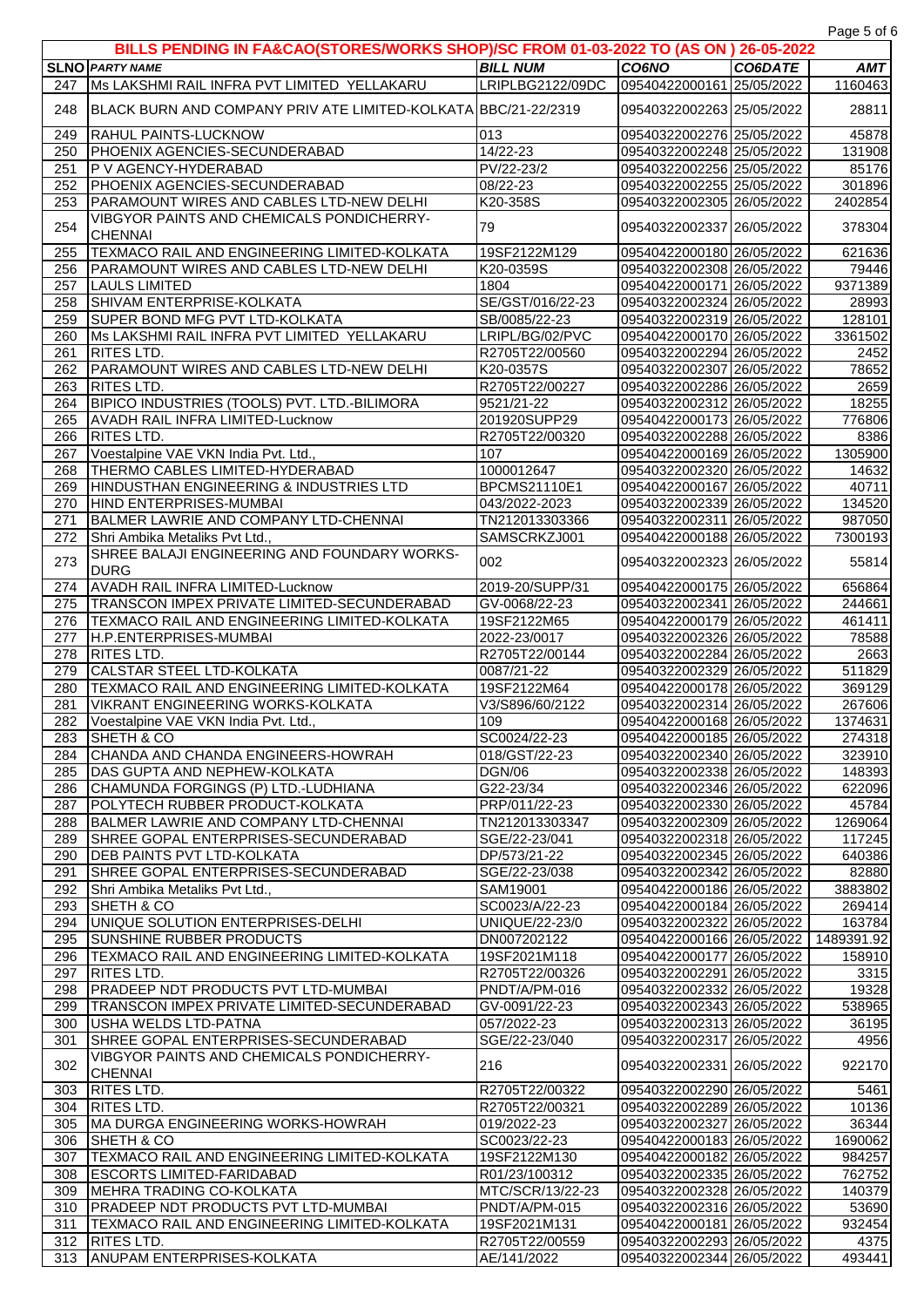**SLNO** *PARTY NAME BILL NUM CO6NO CO6DATE AMT* **BILLS PENDING IN FA&CAO(STORES/WORKS SHOP)/SC FROM 01-03-2022 TO (AS ON ) 26-05-2022**  Ms LAKSHMI RAIL INFRA PVT LIMITED YELLAKARU LRIPLBG2122/09DC 09540422000161 25/05/2022 1160463 248 BLACK BURN AND COMPANY PRIV ATE LIMITED-KOLKATA BBC/21-22/2319 09540322002263 25/05/2022 28811 RAHUL PAINTS-LUCKNOW 013 09540322002276 25/05/2022 45878 PHOENIX AGENCIES-SECUNDERABAD 14/22-23 09540322002248 25/05/2022 131908 P V AGENCY-HYDERABAD PV/22-23/2 09540322002256 25/05/2022 85176 PHOENIX AGENCIES-SECUNDERABAD 08/22-23 09540322002255 25/05/2022 301896 PARAMOUNT WIRES AND CABLES LTD-NEW DELHI K20-358S 09540322002305 26/05/2022 2402854 254 VIBGYOR PAINTS AND CHEMICALS PONDICHERRY-CHENNAI 79 09540322002337 26/05/2022 378304 TEXMACO RAIL AND ENGINEERING LIMITED-KOLKATA 19SF2122M129 09540422000180 26/05/2022 621636 PARAMOUNT WIRES AND CABLES LTD-NEW DELHI K20-0359S 09540322002308 26/05/2022 79446 LAULS LIMITED 1804 09540422000171 26/05/2022 9371389 SHIVAM ENTERPRISE-KOLKATA SE/GST/016/22-23 09540322002324 26/05/2022 28993 SUPER BOND MFG PVT LTD-KOLKATA SB/0085/22-23 09540322002319 26/05/2022 128101 Ms LAKSHMI RAIL INFRA PVT LIMITED YELLAKARU LRIPL/BG/02/PVC 09540422000170 26/05/2022 3361502 RITES LTD. R2705T22/00560 09540322002294 26/05/2022 2452 PARAMOUNT WIRES AND CABLES LTD-NEW DELHI K20-0357S 09540322002307 26/05/2022 78652 RITES LTD. R2705T22/00227 09540322002286 26/05/2022 2659 BIPICO INDUSTRIES (TOOLS) PVT. LTD.-BILIMORA 9521/21-22 09540322002312 26/05/2022 18255 AVADH RAIL INFRA LIMITED-Lucknow 201920SUPP29 09540422000173 26/05/2022 776806 RITES LTD. R2705T22/00320 09540322002288 26/05/2022 8386 Voestalpine VAE VKN India Pvt. Ltd., 107 09540422000169 26/05/2022 1305900 THERMO CABLES LIMITED-HYDERABAD 1000012647 09540322002320 26/05/2022 14632 HINDUSTHAN ENGINEERING & INDUSTRIES LTD BPCMS21110E1 09540422000167 26/05/2022 40711 HIND ENTERPRISES-MUMBAI 043/2022-2023 09540322002339 26/05/2022 134520 BALMER LAWRIE AND COMPANY LTD-CHENNAI TN212013303366 09540322002311 26/05/2022 987050 Shri Ambika Metaliks Pvt Ltd., SAMSCRKZJ001 09540422000188 26/05/2022 7300193 273 SHREE BALAJI ENGINEERING AND FOUNDARY WORKS-ONREL DALAST LINGING LINING AND TOONDART WORKS-002 002 09540322002323 26/05/2022 55814 AVADH RAIL INFRA LIMITED-Lucknow 2019-20/SUPP/31 09540422000175 26/05/2022 656864 TRANSCON IMPEX PRIVATE LIMITED-SECUNDERABAD GV-0068/22-23 09540322002341 26/05/2022 244661 TEXMACO RAIL AND ENGINEERING LIMITED-KOLKATA 19SF2122M65 09540422000179 26/05/2022 461411 H.P.ENTERPRISES-MUMBAI 2022-23/0017 09540322002326 26/05/2022 78588 RITES LTD. R2705T22/00144 09540322002284 26/05/2022 2663 CALSTAR STEEL LTD-KOLKATA 0087/21-22 09540322002329 26/05/2022 511829 TEXMACO RAIL AND ENGINEERING LIMITED-KOLKATA 19SF2122M64 09540422000178 26/05/2022 369129 VIKRANT ENGINEERING WORKS-KOLKATA V3/S896/60/2122 09540322002314 26/05/2022 267606 282 Voestalpine VAE VKN India Pvt. Ltd., 109 109 109 109 109540422000168 26/05/2022 1374631 SHETH & CO SC0024/22-23 09540422000185 26/05/2022 274318 CHANDA AND CHANDA ENGINEERS-HOWRAH 018/GST/22-23 09540322002340 26/05/2022 323910 DAS GUPTA AND NEPHEW-KOLKATA DGN/06 09540322002338 26/05/2022 148393 CHAMUNDA FORGINGS (P) LTD.-LUDHIANA G22-23/34 09540322002346 26/05/2022 622096 POLYTECH RUBBER PRODUCT-KOLKATA PRP/011/22-23 09540322002330 26/05/2022 45784 BALMER LAWRIE AND COMPANY LTD-CHENNAI TN212013303347 09540322002309 26/05/2022 1269064 SHREE GOPAL ENTERPRISES-SECUNDERABAD SGE/22-23/041 09540322002318 26/05/2022 117245 DEB PAINTS PVT LTD-KOLKATA DP/573/21-22 09540322002345 26/05/2022 640386 291 SHREE GOPAL ENTERPRISES-SECUNDERABAD SGE/22-23/038 09540322002342 26/05/2022 82880 Shri Ambika Metaliks Pvt Ltd., SAM19001 09540422000186 26/05/2022 3883802 SHETH & CO SC0023/A/22-23 09540422000184 26/05/2022 269414 UNIQUE SOLUTION ENTERPRISES-DELHI UNIQUE/22-23/0 09540322002322 26/05/2022 163784 SUNSHINE RUBBER PRODUCTS DN007202122 09540422000166 26/05/2022 1489391.92 TEXMACO RAIL AND ENGINEERING LIMITED-KOLKATA 19SF2021M118 09540422000177 26/05/2022 158910 RITES LTD. R2705T22/00326 09540322002291 26/05/2022 3315 PRADEEP NDT PRODUCTS PVT LTD-MUMBAI PNDT/A/PM-016 09540322002332 26/05/2022 19328 TRANSCON IMPEX PRIVATE LIMITED-SECUNDERABAD GV-0091/22-23 09540322002343 26/05/2022 538965 USHA WELDS LTD-PATNA 057/2022-23 09540322002313 26/05/2022 36195 SHREE GOPAL ENTERPRISES-SECUNDERABAD SGE/22-23/040 09540322002317 26/05/2022 4956 302 VIBGYOR PAINTS AND CHEMICALS PONDICHERRY-<br>CHENNAI 216 09540322002331 26/05/2022 922170 RITES LTD. R2705T22/00322 09540322002290 26/05/2022 5461 RITES LTD. R2705T22/00321 09540322002289 26/05/2022 10136 MA DURGA ENGINEERING WORKS-HOWRAH 019/2022-23 09540322002327 26/05/2022 36344 306 SHETH & CO SC0023/22-23 09540422000183 26/05/2022 1690062 TEXMACO RAIL AND ENGINEERING LIMITED-KOLKATA 19SF2122M130 09540422000182 26/05/2022 984257 ESCORTS LIMITED-FARIDABAD R01/23/100312 09540322002335 26/05/2022 762752 309 MEHRA TRADING CO-KOLKATA MTC/SCR/13/22-23 09540322002328 26/05/2022 140379 PRADEEP NDT PRODUCTS PVT LTD-MUMBAI PNDT/A/PM-015 09540322002316 26/05/2022 53690 TEXMACO RAIL AND ENGINEERING LIMITED-KOLKATA 19SF2021M131 09540422000181 26/05/2022 932454 RITES LTD. R2705T22/00559 09540322002293 26/05/2022 4375 ANUPAM ENTERPRISES-KOLKATA AE/141/2022 09540322002344 26/05/2022 493441

Page 5 of 6